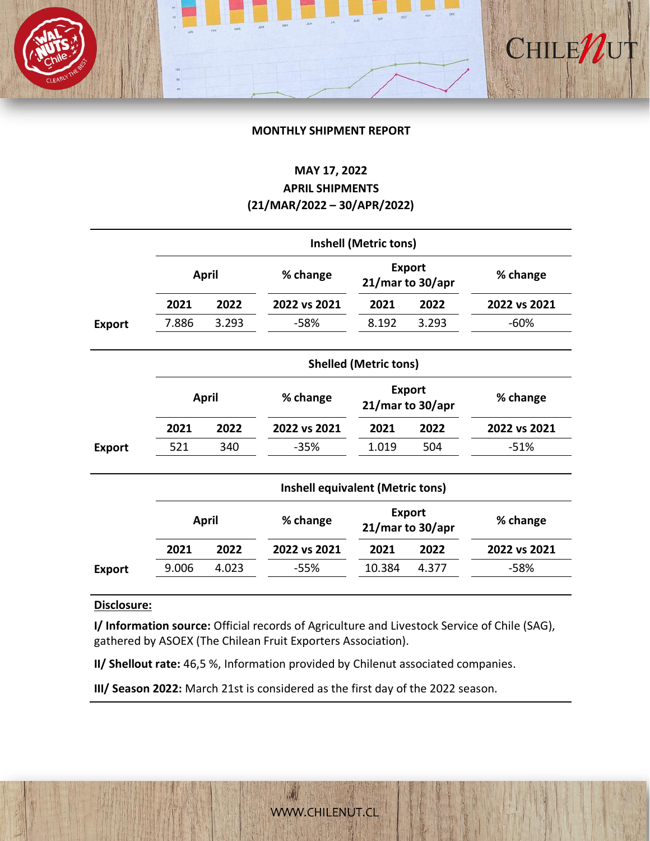### **MONTHLY SHIPMENT REPORT**

CHILE/

# **MAY 17, 2022**

## **APRIL SHIPMENTS (21/MAR/2022 – 30/APR/2022)**

|               | <b>Inshell (Metric tons)</b>            |       |              |                                      |       |              |  |  |  |
|---------------|-----------------------------------------|-------|--------------|--------------------------------------|-------|--------------|--|--|--|
|               | <b>April</b>                            |       | % change     | <b>Export</b><br>21/mar to 30/apr    |       | % change     |  |  |  |
|               | 2021                                    | 2022  | 2022 vs 2021 | 2021                                 | 2022  | 2022 vs 2021 |  |  |  |
| <b>Export</b> | 7.886                                   | 3.293 | $-58%$       | 8.192                                | 3.293 | $-60%$       |  |  |  |
|               |                                         |       |              | <b>Shelled (Metric tons)</b>         |       |              |  |  |  |
|               | <b>April</b>                            |       | % change     | <b>Export</b><br>21/mar to 30/apr    |       | % change     |  |  |  |
|               | 2021                                    | 2022  | 2022 vs 2021 | 2021                                 | 2022  | 2022 vs 2021 |  |  |  |
| <b>Export</b> | 521                                     | 340   | -35%         | 1.019                                | 504   | $-51%$       |  |  |  |
|               | <b>Inshell equivalent (Metric tons)</b> |       |              |                                      |       |              |  |  |  |
|               | <b>April</b>                            |       | % change     | <b>Export</b><br>$21/m$ ar to 30/apr |       | % change     |  |  |  |
|               | 2021                                    | 2022  | 2022 vs 2021 | 2021                                 | 2022  | 2022 vs 2021 |  |  |  |

### **Disclosure:**

**I/ Information source:** Official records of Agriculture and Livestock Service of Chile (SAG), gathered by ASOEX (The Chilean Fruit Exporters Association).

**Export** 9.006 4.023 -55% 10.384 4.377 -58%

**II/ Shellout rate:** 46,5 %, Information provided by Chilenut associated companies.

**III/ Season 2022:** March 21st is considered as the first day of the 2022 season.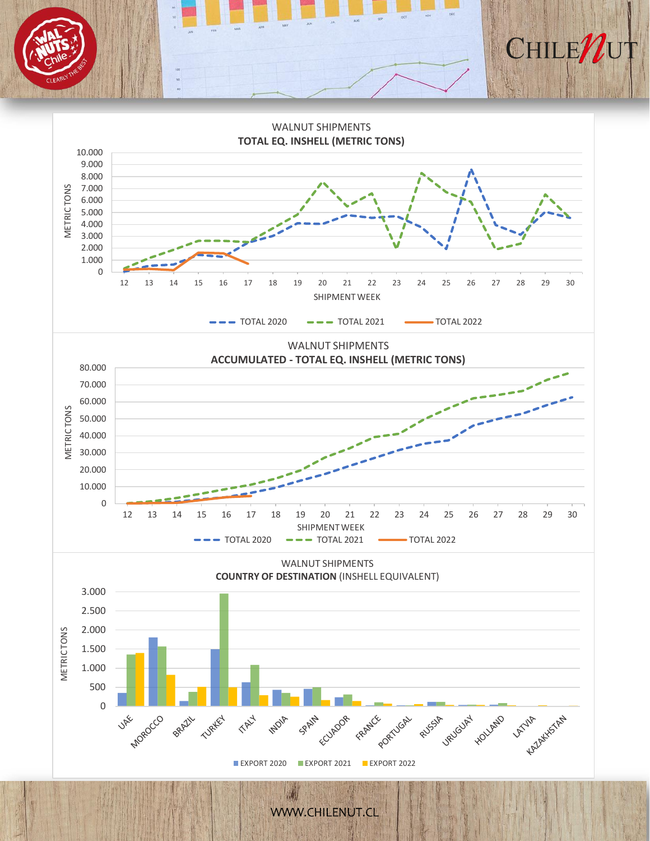



[WWW.CHILENUT.CL](http://WWW.CHILENUT.CL)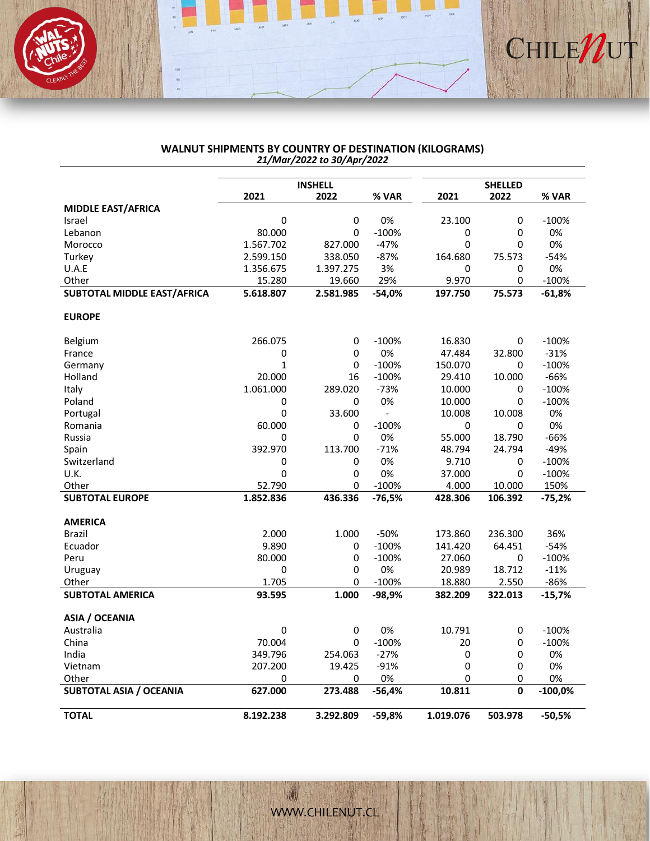

#### **WALNUT SHIPMENTS BY COUNTRY OF DESTINATION (KILOGRAMS)** *21/Mar/2022 to 30/Apr/2022*

|                                     |                        | <b>INSHELL</b>       |                |              | <b>SHELLED</b> |              |
|-------------------------------------|------------------------|----------------------|----------------|--------------|----------------|--------------|
|                                     | 2021                   | 2022                 | % VAR          | 2021         | 2022           | % VAR        |
| <b>MIDDLE EAST/AFRICA</b><br>Israel | 0                      | 0                    | 0%             | 23.100       | 0              | $-100%$      |
| Lebanon                             | 80.000                 | 0                    | $-100%$        | 0            | 0              | 0%           |
| Morocco                             | 1.567.702              | 827.000              | $-47%$         | 0            | 0              | 0%           |
|                                     |                        |                      |                |              |                |              |
| Turkey<br>U.A.E                     | 2.599.150<br>1.356.675 | 338.050<br>1.397.275 | $-87%$<br>3%   | 164.680<br>0 | 75.573<br>0    | $-54%$<br>0% |
| Other                               | 15.280                 |                      | 29%            | 9.970        | 0              | $-100%$      |
| <b>SUBTOTAL MIDDLE EAST/AFRICA</b>  | 5.618.807              | 19.660<br>2.581.985  | $-54,0%$       | 197.750      | 75.573         | $-61,8%$     |
|                                     |                        |                      |                |              |                |              |
| <b>EUROPE</b>                       |                        |                      |                |              |                |              |
| Belgium                             | 266.075                | 0                    | $-100%$        | 16.830       | 0              | $-100%$      |
| France                              | 0                      | 0                    | 0%             | 47.484       | 32.800         | $-31%$       |
| Germany                             | $\mathbf{1}$           | 0                    | $-100%$        | 150.070      | 0              | $-100%$      |
| Holland                             | 20.000                 | 16                   | $-100%$        | 29.410       | 10.000         | -66%         |
| Italy                               | 1.061.000              | 289.020              | $-73%$         | 10.000       | 0              | $-100%$      |
| Poland                              | 0                      | 0                    | 0%             | 10.000       | $\Omega$       | $-100%$      |
| Portugal                            | 0                      | 33.600               | $\overline{a}$ | 10.008       | 10.008         | 0%           |
| Romania                             | 60.000                 | 0                    | $-100%$        | 0            | 0              | 0%           |
| Russia                              | 0                      | $\Omega$             | 0%             | 55.000       | 18.790         | $-66%$       |
| Spain                               | 392.970                | 113.700              | $-71%$         | 48.794       | 24.794         | -49%         |
| Switzerland                         | 0                      | 0                    | 0%             | 9.710        | 0              | $-100%$      |
| U.K.                                | 0                      | 0                    | 0%             | 37.000       | $\Omega$       | $-100%$      |
| Other                               | 52.790                 | 0                    | $-100%$        | 4.000        | 10.000         | 150%         |
| <b>SUBTOTAL EUROPE</b>              | 1.852.836              | 436.336              | $-76,5%$       | 428.306      | 106.392        | -75,2%       |
| <b>AMERICA</b>                      |                        |                      |                |              |                |              |
| Brazil                              | 2.000                  | 1.000                | $-50%$         | 173.860      | 236.300        | 36%          |
| Ecuador                             | 9.890                  | 0                    | $-100%$        | 141.420      | 64.451         | $-54%$       |
| Peru                                | 80.000                 | 0                    | $-100%$        | 27.060       | 0              | $-100%$      |
| Uruguay                             | 0                      | 0                    | 0%             | 20.989       | 18.712         | $-11%$       |
| Other                               | 1.705                  | 0                    | $-100%$        | 18.880       | 2.550          | $-86%$       |
| <b>SUBTOTAL AMERICA</b>             | 93.595                 | 1.000                | $-98,9%$       | 382.209      | 322.013        | $-15,7%$     |
| <b>ASIA / OCEANIA</b>               |                        |                      |                |              |                |              |
| Australia                           | 0                      | 0                    | 0%             | 10.791       | 0              | $-100%$      |
| China                               | 70.004                 | 0                    | $-100%$        | 20           | $\Omega$       | $-100%$      |
| India                               | 349.796                | 254.063              | $-27%$         | 0            | 0              | 0%           |
| Vietnam                             | 207.200                | 19.425               | $-91%$         | 0            | 0              | 0%           |
| Other                               | 0                      | 0                    | 0%             | 0            | 0              | 0%           |
| <b>SUBTOTAL ASIA / OCEANIA</b>      | 627.000                | 273.488              | $-56,4%$       | 10.811       | $\mathbf 0$    | $-100,0%$    |
| <b>TOTAL</b>                        | 8.192.238              | 3.292.809            | $-59,8%$       | 1.019.076    | 503.978        | $-50,5%$     |

[WWW.CHILENUT.CL](http://WWW.CHILENUT.CL) 

潮